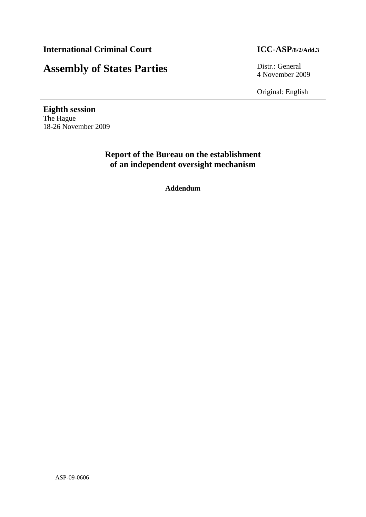# **Assembly of States Parties** Distr.: General

4 November 2009

Original: English

**Eighth session**  The Hague 18-26 November 2009

> **Report of the Bureau on the establishment of an independent oversight mechanism**

> > **Addendum**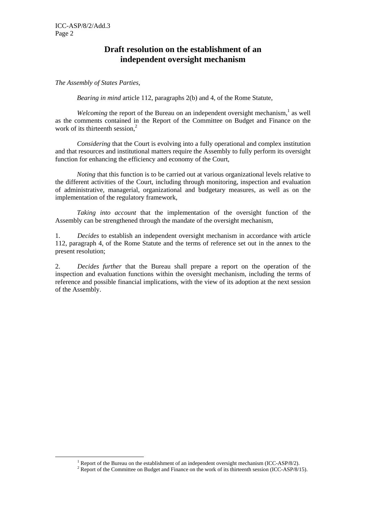## **Draft resolution on the establishment of an independent oversight mechanism**

#### *The Assembly of States Parties,*

*Bearing in mind* article 112, paragraphs 2(b) and 4, of the Rome Statute,

*Welcoming* the report of the Bureau on an independent oversight mechanism,<sup>1</sup> as well as the comments contained in the Report of the Committee on Budget and Finance on the work of its thirteenth session,<sup>2</sup>

*Considering* that the Court is evolving into a fully operational and complex institution and that resources and institutional matters require the Assembly to fully perform its oversight function for enhancing the efficiency and economy of the Court,

*Noting* that this function is to be carried out at various organizational levels relative to the different activities of the Court, including through monitoring, inspection and evaluation of administrative, managerial, organizational and budgetary measures, as well as on the implementation of the regulatory framework,

*Taking into account* that the implementation of the oversight function of the Assembly can be strengthened through the mandate of the oversight mechanism,

1. *Decides* to establish an independent oversight mechanism in accordance with article 112, paragraph 4, of the Rome Statute and the terms of reference set out in the annex to the present resolution;

2. *Decides further* that the Bureau shall prepare a report on the operation of the inspection and evaluation functions within the oversight mechanism, including the terms of reference and possible financial implications, with the view of its adoption at the next session of the Assembly.

<sup>&</sup>lt;u>1</u> <sup>1</sup> Report of the Bureau on the establishment of an independent oversight mechanism (ICC-ASP/8/2).

 $2$  Report of the Committee on Budget and Finance on the work of its thirteenth session (ICC-ASP/8/15).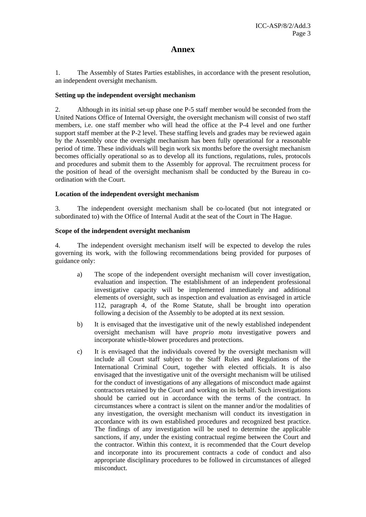### **Annex**

1. The Assembly of States Parties establishes, in accordance with the present resolution, an independent oversight mechanism.

#### **Setting up the independent oversight mechanism**

2. Although in its initial set-up phase one P-5 staff member would be seconded from the United Nations Office of Internal Oversight, the oversight mechanism will consist of two staff members, i.e. one staff member who will head the office at the P-4 level and one further support staff member at the P-2 level. These staffing levels and grades may be reviewed again by the Assembly once the oversight mechanism has been fully operational for a reasonable period of time. These individuals will begin work six months before the oversight mechanism becomes officially operational so as to develop all its functions, regulations, rules, protocols and procedures and submit them to the Assembly for approval. The recruitment process for the position of head of the oversight mechanism shall be conducted by the Bureau in coordination with the Court.

#### **Location of the independent oversight mechanism**

3. The independent oversight mechanism shall be co-located (but not integrated or subordinated to) with the Office of Internal Audit at the seat of the Court in The Hague.

#### **Scope of the independent oversight mechanism**

4. The independent oversight mechanism itself will be expected to develop the rules governing its work, with the following recommendations being provided for purposes of guidance only:

- a) The scope of the independent oversight mechanism will cover investigation, evaluation and inspection. The establishment of an independent professional investigative capacity will be implemented immediately and additional elements of oversight, such as inspection and evaluation as envisaged in article 112, paragraph 4, of the Rome Statute, shall be brought into operation following a decision of the Assembly to be adopted at its next session.
- b) It is envisaged that the investigative unit of the newly established independent oversight mechanism will have *proprio motu* investigative powers and incorporate whistle-blower procedures and protections.
- c) It is envisaged that the individuals covered by the oversight mechanism will include all Court staff subject to the Staff Rules and Regulations of the International Criminal Court, together with elected officials. It is also envisaged that the investigative unit of the oversight mechanism will be utilised for the conduct of investigations of any allegations of misconduct made against contractors retained by the Court and working on its behalf. Such investigations should be carried out in accordance with the terms of the contract. In circumstances where a contract is silent on the manner and/or the modalities of any investigation, the oversight mechanism will conduct its investigation in accordance with its own established procedures and recognized best practice. The findings of any investigation will be used to determine the applicable sanctions, if any, under the existing contractual regime between the Court and the contractor. Within this context, it is recommended that the Court develop and incorporate into its procurement contracts a code of conduct and also appropriate disciplinary procedures to be followed in circumstances of alleged misconduct.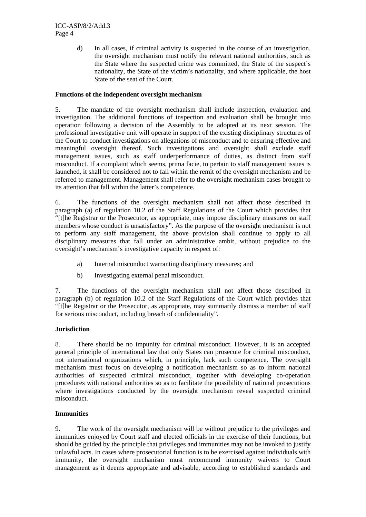d) In all cases, if criminal activity is suspected in the course of an investigation, the oversight mechanism must notify the relevant national authorities, such as the State where the suspected crime was committed, the State of the suspect's nationality, the State of the victim's nationality, and where applicable, the host State of the seat of the Court.

#### **Functions of the independent oversight mechanism**

5. The mandate of the oversight mechanism shall include inspection, evaluation and investigation. The additional functions of inspection and evaluation shall be brought into operation following a decision of the Assembly to be adopted at its next session. The professional investigative unit will operate in support of the existing disciplinary structures of the Court to conduct investigations on allegations of misconduct and to ensuring effective and meaningful oversight thereof. Such investigations and oversight shall exclude staff management issues, such as staff underperformance of duties, as distinct from staff misconduct. If a complaint which seems, prima facie, to pertain to staff management issues is launched, it shall be considered not to fall within the remit of the oversight mechanism and be referred to management. Management shall refer to the oversight mechanism cases brought to its attention that fall within the latter's competence.

6. The functions of the oversight mechanism shall not affect those described in paragraph (a) of regulation 10.2 of the Staff Regulations of the Court which provides that "[t]he Registrar or the Prosecutor, as appropriate, may impose disciplinary measures on staff members whose conduct is unsatisfactory". As the purpose of the oversight mechanism is not to perform any staff management, the above provision shall continue to apply to all disciplinary measures that fall under an administrative ambit, without prejudice to the oversight's mechanism's investigative capacity in respect of:

- a) Internal misconduct warranting disciplinary measures; and
- b) Investigating external penal misconduct.

7. The functions of the oversight mechanism shall not affect those described in paragraph (b) of regulation 10.2 of the Staff Regulations of the Court which provides that "[t]he Registrar or the Prosecutor, as appropriate, may summarily dismiss a member of staff for serious misconduct, including breach of confidentiality".

#### **Jurisdiction**

8. There should be no impunity for criminal misconduct. However, it is an accepted general principle of international law that only States can prosecute for criminal misconduct, not international organizations which, in principle, lack such competence. The oversight mechanism must focus on developing a notification mechanism so as to inform national authorities of suspected criminal misconduct, together with developing co-operation procedures with national authorities so as to facilitate the possibility of national prosecutions where investigations conducted by the oversight mechanism reveal suspected criminal misconduct.

#### **Immunities**

9. The work of the oversight mechanism will be without prejudice to the privileges and immunities enjoyed by Court staff and elected officials in the exercise of their functions, but should be guided by the principle that privileges and immunities may not be invoked to justify unlawful acts. In cases where prosecutorial function is to be exercised against individuals with immunity, the oversight mechanism must recommend immunity waivers to Court management as it deems appropriate and advisable, according to established standards and